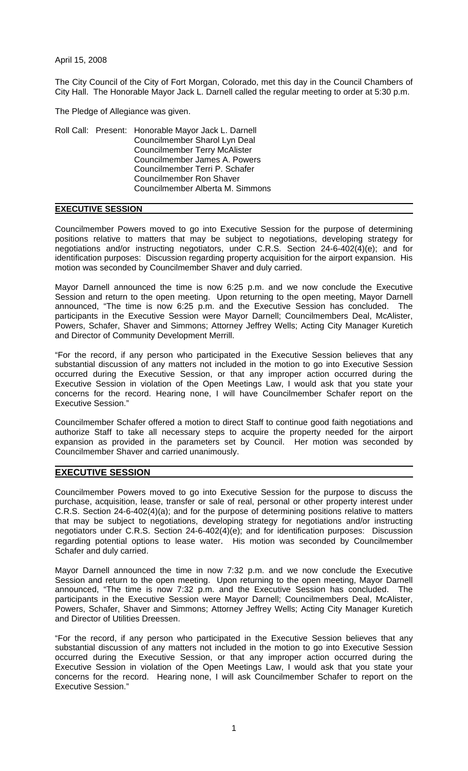April 15, 2008

The City Council of the City of Fort Morgan, Colorado, met this day in the Council Chambers of City Hall. The Honorable Mayor Jack L. Darnell called the regular meeting to order at 5:30 p.m.

The Pledge of Allegiance was given.

Roll Call: Present: Honorable Mayor Jack L. Darnell Councilmember Sharol Lyn Deal Councilmember Terry McAlister Councilmember James A. Powers Councilmember Terri P. Schafer Councilmember Ron Shaver Councilmember Alberta M. Simmons

# **EXECUTIVE SESSION**

Councilmember Powers moved to go into Executive Session for the purpose of determining positions relative to matters that may be subject to negotiations, developing strategy for negotiations and/or instructing negotiators, under C.R.S. Section 24-6-402(4)(e); and for identification purposes: Discussion regarding property acquisition for the airport expansion. His motion was seconded by Councilmember Shaver and duly carried.

Mayor Darnell announced the time is now 6:25 p.m. and we now conclude the Executive Session and return to the open meeting. Upon returning to the open meeting, Mayor Darnell announced, "The time is now 6:25 p.m. and the Executive Session has concluded. The participants in the Executive Session were Mayor Darnell; Councilmembers Deal, McAlister, Powers, Schafer, Shaver and Simmons; Attorney Jeffrey Wells; Acting City Manager Kuretich and Director of Community Development Merrill.

"For the record, if any person who participated in the Executive Session believes that any substantial discussion of any matters not included in the motion to go into Executive Session occurred during the Executive Session, or that any improper action occurred during the Executive Session in violation of the Open Meetings Law, I would ask that you state your concerns for the record. Hearing none, I will have Councilmember Schafer report on the Executive Session."

Councilmember Schafer offered a motion to direct Staff to continue good faith negotiations and authorize Staff to take all necessary steps to acquire the property needed for the airport expansion as provided in the parameters set by Council. Her motion was seconded by Councilmember Shaver and carried unanimously.

# **EXECUTIVE SESSION**

Councilmember Powers moved to go into Executive Session for the purpose to discuss the purchase, acquisition, lease, transfer or sale of real, personal or other property interest under C.R.S. Section 24-6-402(4)(a); and for the purpose of determining positions relative to matters that may be subject to negotiations, developing strategy for negotiations and/or instructing negotiators under C.R.S. Section 24-6-402(4)(e); and for identification purposes: Discussion regarding potential options to lease water. His motion was seconded by Councilmember Schafer and duly carried.

Mayor Darnell announced the time in now 7:32 p.m. and we now conclude the Executive Session and return to the open meeting. Upon returning to the open meeting, Mayor Darnell announced, "The time is now 7:32 p.m. and the Executive Session has concluded. The participants in the Executive Session were Mayor Darnell; Councilmembers Deal, McAlister, Powers, Schafer, Shaver and Simmons; Attorney Jeffrey Wells; Acting City Manager Kuretich and Director of Utilities Dreessen.

"For the record, if any person who participated in the Executive Session believes that any substantial discussion of any matters not included in the motion to go into Executive Session occurred during the Executive Session, or that any improper action occurred during the Executive Session in violation of the Open Meetings Law, I would ask that you state your concerns for the record. Hearing none, I will ask Councilmember Schafer to report on the Executive Session."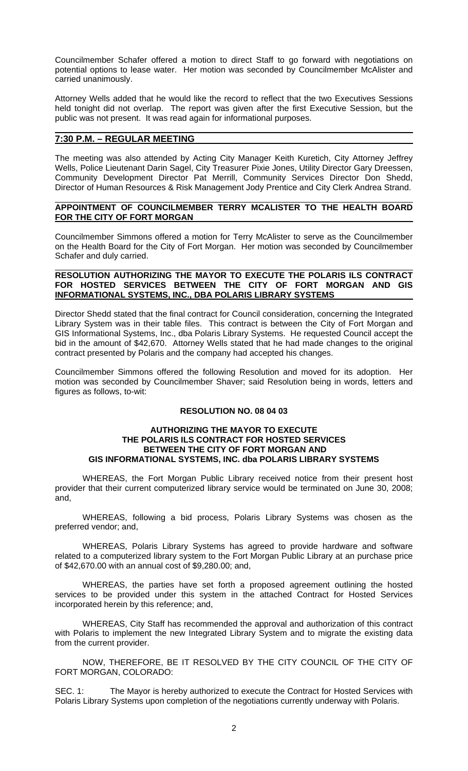Councilmember Schafer offered a motion to direct Staff to go forward with negotiations on potential options to lease water. Her motion was seconded by Councilmember McAlister and carried unanimously.

Attorney Wells added that he would like the record to reflect that the two Executives Sessions held tonight did not overlap. The report was given after the first Executive Session, but the public was not present. It was read again for informational purposes.

# **7:30 P.M. – REGULAR MEETING**

The meeting was also attended by Acting City Manager Keith Kuretich, City Attorney Jeffrey Wells, Police Lieutenant Darin Sagel, City Treasurer Pixie Jones, Utility Director Gary Dreessen, Community Development Director Pat Merrill, Community Services Director Don Shedd, Director of Human Resources & Risk Management Jody Prentice and City Clerk Andrea Strand.

### **APPOINTMENT OF COUNCILMEMBER TERRY MCALISTER TO THE HEALTH BOARD FOR THE CITY OF FORT MORGAN**

Councilmember Simmons offered a motion for Terry McAlister to serve as the Councilmember on the Health Board for the City of Fort Morgan. Her motion was seconded by Councilmember Schafer and duly carried.

#### **RESOLUTION AUTHORIZING THE MAYOR TO EXECUTE THE POLARIS ILS CONTRACT FOR HOSTED SERVICES BETWEEN THE CITY OF FORT MORGAN AND GIS INFORMATIONAL SYSTEMS, INC., DBA POLARIS LIBRARY SYSTEMS**

Director Shedd stated that the final contract for Council consideration, concerning the Integrated Library System was in their table files. This contract is between the City of Fort Morgan and GIS Informational Systems, Inc., dba Polaris Library Systems. He requested Council accept the bid in the amount of \$42,670. Attorney Wells stated that he had made changes to the original contract presented by Polaris and the company had accepted his changes.

Councilmember Simmons offered the following Resolution and moved for its adoption. Her motion was seconded by Councilmember Shaver; said Resolution being in words, letters and figures as follows, to-wit:

# **RESOLUTION NO. 08 04 03**

### **AUTHORIZING THE MAYOR TO EXECUTE THE POLARIS ILS CONTRACT FOR HOSTED SERVICES BETWEEN THE CITY OF FORT MORGAN AND GIS INFORMATIONAL SYSTEMS, INC. dba POLARIS LIBRARY SYSTEMS**

WHEREAS, the Fort Morgan Public Library received notice from their present host provider that their current computerized library service would be terminated on June 30, 2008; and,

WHEREAS, following a bid process, Polaris Library Systems was chosen as the preferred vendor; and,

WHEREAS, Polaris Library Systems has agreed to provide hardware and software related to a computerized library system to the Fort Morgan Public Library at an purchase price of \$42,670.00 with an annual cost of \$9,280.00; and,

WHEREAS, the parties have set forth a proposed agreement outlining the hosted services to be provided under this system in the attached Contract for Hosted Services incorporated herein by this reference; and,

WHEREAS, City Staff has recommended the approval and authorization of this contract with Polaris to implement the new Integrated Library System and to migrate the existing data from the current provider.

NOW, THEREFORE, BE IT RESOLVED BY THE CITY COUNCIL OF THE CITY OF FORT MORGAN, COLORADO:

SEC. 1: The Mayor is hereby authorized to execute the Contract for Hosted Services with Polaris Library Systems upon completion of the negotiations currently underway with Polaris.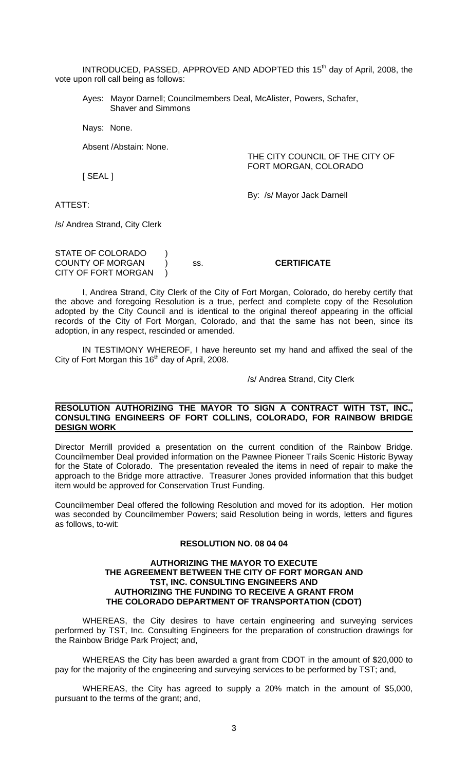INTRODUCED, PASSED, APPROVED AND ADOPTED this 15<sup>th</sup> day of April, 2008, the vote upon roll call being as follows:

Ayes: Mayor Darnell; Councilmembers Deal, McAlister, Powers, Schafer, Shaver and Simmons

Nays: None.

Absent /Abstain: None.

THE CITY COUNCIL OF THE CITY OF FORT MORGAN, COLORADO

[ SEAL ]

By: /s/ Mayor Jack Darnell

ATTEST:

/s/ Andrea Strand, City Clerk

STATE OF COLORADO ) COUNTY OF MORGAN ) ss. **CERTIFICATE** CITY OF FORT MORGAN )

 I, Andrea Strand, City Clerk of the City of Fort Morgan, Colorado, do hereby certify that the above and foregoing Resolution is a true, perfect and complete copy of the Resolution adopted by the City Council and is identical to the original thereof appearing in the official records of the City of Fort Morgan, Colorado, and that the same has not been, since its adoption, in any respect, rescinded or amended.

 IN TESTIMONY WHEREOF, I have hereunto set my hand and affixed the seal of the City of Fort Morgan this  $16<sup>th</sup>$  day of April, 2008.

/s/ Andrea Strand, City Clerk

## **RESOLUTION AUTHORIZING THE MAYOR TO SIGN A CONTRACT WITH TST, INC., CONSULTING ENGINEERS OF FORT COLLINS, COLORADO, FOR RAINBOW BRIDGE DESIGN WORK**

Director Merrill provided a presentation on the current condition of the Rainbow Bridge. Councilmember Deal provided information on the Pawnee Pioneer Trails Scenic Historic Byway for the State of Colorado. The presentation revealed the items in need of repair to make the approach to the Bridge more attractive. Treasurer Jones provided information that this budget item would be approved for Conservation Trust Funding.

Councilmember Deal offered the following Resolution and moved for its adoption. Her motion was seconded by Councilmember Powers; said Resolution being in words, letters and figures as follows, to-wit:

### **RESOLUTION NO. 08 04 04**

#### **AUTHORIZING THE MAYOR TO EXECUTE THE AGREEMENT BETWEEN THE CITY OF FORT MORGAN AND TST, INC. CONSULTING ENGINEERS AND AUTHORIZING THE FUNDING TO RECEIVE A GRANT FROM THE COLORADO DEPARTMENT OF TRANSPORTATION (CDOT)**

WHEREAS, the City desires to have certain engineering and surveying services performed by TST, Inc. Consulting Engineers for the preparation of construction drawings for the Rainbow Bridge Park Project; and,

WHEREAS the City has been awarded a grant from CDOT in the amount of \$20,000 to pay for the majority of the engineering and surveying services to be performed by TST; and,

WHEREAS, the City has agreed to supply a 20% match in the amount of \$5,000, pursuant to the terms of the grant; and,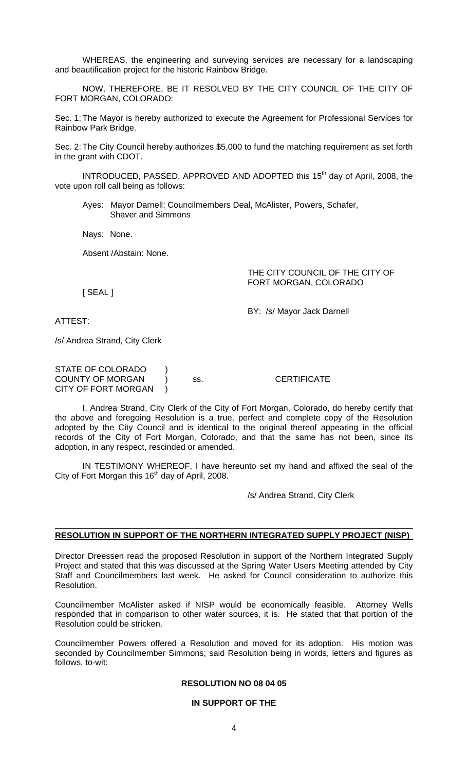WHEREAS, the engineering and surveying services are necessary for a landscaping and beautification project for the historic Rainbow Bridge.

NOW, THEREFORE, BE IT RESOLVED BY THE CITY COUNCIL OF THE CITY OF FORT MORGAN, COLORADO:

Sec. 1: The Mayor is hereby authorized to execute the Agreement for Professional Services for Rainbow Park Bridge.

Sec. 2: The City Council hereby authorizes \$5,000 to fund the matching requirement as set forth in the grant with CDOT.

INTRODUCED, PASSED, APPROVED AND ADOPTED this 15<sup>th</sup> day of April, 2008, the vote upon roll call being as follows:

Ayes: Mayor Darnell; Councilmembers Deal, McAlister, Powers, Schafer, Shaver and Simmons

Nays: None.

Absent /Abstain: None.

THE CITY COUNCIL OF THE CITY OF FORT MORGAN, COLORADO

[ SEAL ]

BY: /s/ Mayor Jack Darnell

ATTEST:

/s/ Andrea Strand, City Clerk

| STATE OF COLORADO          |     |             |
|----------------------------|-----|-------------|
| <b>COUNTY OF MORGAN</b>    | SS. | CERTIFICATE |
| <b>CITY OF FORT MORGAN</b> |     |             |

 I, Andrea Strand, City Clerk of the City of Fort Morgan, Colorado, do hereby certify that the above and foregoing Resolution is a true, perfect and complete copy of the Resolution adopted by the City Council and is identical to the original thereof appearing in the official records of the City of Fort Morgan, Colorado, and that the same has not been, since its adoption, in any respect, rescinded or amended.

 IN TESTIMONY WHEREOF, I have hereunto set my hand and affixed the seal of the City of Fort Morgan this  $16<sup>th</sup>$  day of April, 2008.

/s/ Andrea Strand, City Clerk

## **RESOLUTION IN SUPPORT OF THE NORTHERN INTEGRATED SUPPLY PROJECT (NISP)**

Director Dreessen read the proposed Resolution in support of the Northern Integrated Supply Project and stated that this was discussed at the Spring Water Users Meeting attended by City Staff and Councilmembers last week. He asked for Council consideration to authorize this Resolution.

Councilmember McAlister asked if NISP would be economically feasible. Attorney Wells responded that in comparison to other water sources, it is. He stated that that portion of the Resolution could be stricken.

Councilmember Powers offered a Resolution and moved for its adoption. His motion was seconded by Councilmember Simmons; said Resolution being in words, letters and figures as follows, to-wit:

# **RESOLUTION NO 08 04 05**

### **IN SUPPORT OF THE**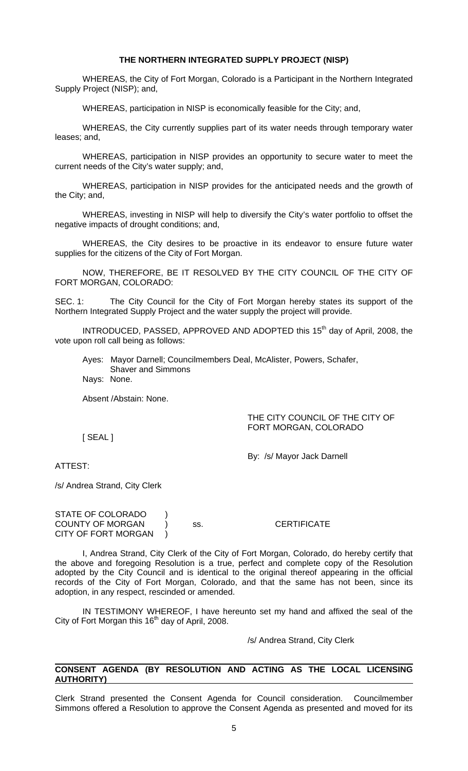# **THE NORTHERN INTEGRATED SUPPLY PROJECT (NISP)**

WHEREAS, the City of Fort Morgan, Colorado is a Participant in the Northern Integrated Supply Project (NISP); and,

WHEREAS, participation in NISP is economically feasible for the City; and,

WHEREAS, the City currently supplies part of its water needs through temporary water leases; and,

WHEREAS, participation in NISP provides an opportunity to secure water to meet the current needs of the City's water supply; and,

WHEREAS, participation in NISP provides for the anticipated needs and the growth of the City; and,

WHEREAS, investing in NISP will help to diversify the City's water portfolio to offset the negative impacts of drought conditions; and,

WHEREAS, the City desires to be proactive in its endeavor to ensure future water supplies for the citizens of the City of Fort Morgan.

NOW, THEREFORE, BE IT RESOLVED BY THE CITY COUNCIL OF THE CITY OF FORT MORGAN, COLORADO:

SEC. 1: The City Council for the City of Fort Morgan hereby states its support of the Northern Integrated Supply Project and the water supply the project will provide.

INTRODUCED, PASSED, APPROVED AND ADOPTED this 15<sup>th</sup> day of April, 2008, the vote upon roll call being as follows:

Ayes: Mayor Darnell; Councilmembers Deal, McAlister, Powers, Schafer, Shaver and Simmons Nays: None.

Absent /Abstain: None.

## THE CITY COUNCIL OF THE CITY OF FORT MORGAN, COLORADO

[ SEAL ]

By: /s/ Mayor Jack Darnell

ATTEST:

/s/ Andrea Strand, City Clerk

STATE OF COLORADO ) COUNTY OF MORGAN ) ss. CERTIFICATE CITY OF FORT MORGAN

 I, Andrea Strand, City Clerk of the City of Fort Morgan, Colorado, do hereby certify that the above and foregoing Resolution is a true, perfect and complete copy of the Resolution adopted by the City Council and is identical to the original thereof appearing in the official records of the City of Fort Morgan, Colorado, and that the same has not been, since its adoption, in any respect, rescinded or amended.

 IN TESTIMONY WHEREOF, I have hereunto set my hand and affixed the seal of the City of Fort Morgan this  $16<sup>th</sup>$  day of April, 2008.

/s/ Andrea Strand, City Clerk

# **CONSENT AGENDA (BY RESOLUTION AND ACTING AS THE LOCAL LICENSING AUTHORITY)**

Clerk Strand presented the Consent Agenda for Council consideration. Councilmember Simmons offered a Resolution to approve the Consent Agenda as presented and moved for its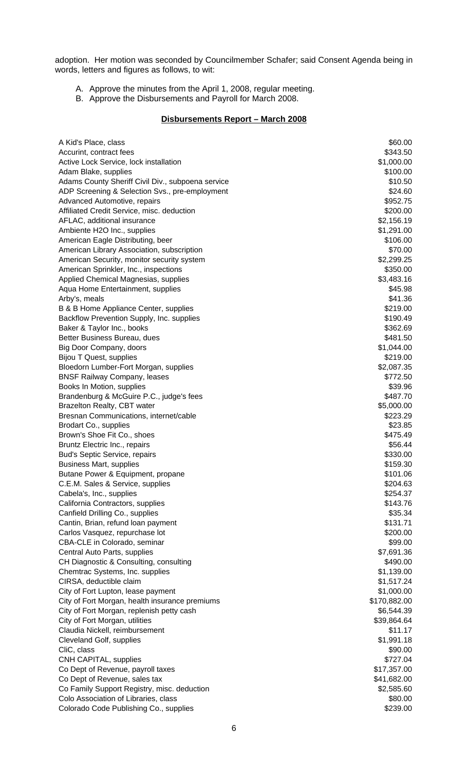adoption. Her motion was seconded by Councilmember Schafer; said Consent Agenda being in words, letters and figures as follows, to wit:

- A. Approve the minutes from the April 1, 2008, regular meeting.
- B. Approve the Disbursements and Payroll for March 2008.

# **Disbursements Report – March 2008**

| A Kid's Place, class                                                                        | \$60.00      |
|---------------------------------------------------------------------------------------------|--------------|
| Accurint, contract fees                                                                     | \$343.50     |
| Active Lock Service, lock installation                                                      | \$1,000.00   |
| Adam Blake, supplies                                                                        | \$100.00     |
| Adams County Sheriff Civil Div., subpoena service                                           | \$10.50      |
| ADP Screening & Selection Svs., pre-employment                                              | \$24.60      |
| Advanced Automotive, repairs                                                                | \$952.75     |
| Affiliated Credit Service, misc. deduction                                                  | \$200.00     |
| AFLAC, additional insurance                                                                 | \$2,156.19   |
| Ambiente H2O Inc., supplies                                                                 | \$1,291.00   |
| American Eagle Distributing, beer                                                           | \$106.00     |
| American Library Association, subscription                                                  | \$70.00      |
| American Security, monitor security system                                                  | \$2,299.25   |
| American Sprinkler, Inc., inspections                                                       | \$350.00     |
| Applied Chemical Magnesias, supplies                                                        | \$3,483.16   |
| Aqua Home Entertainment, supplies                                                           | \$45.98      |
| Arby's, meals                                                                               | \$41.36      |
| B & B Home Appliance Center, supplies                                                       | \$219.00     |
| Backflow Prevention Supply, Inc. supplies                                                   | \$190.49     |
| Baker & Taylor Inc., books                                                                  | \$362.69     |
| Better Business Bureau, dues                                                                | \$481.50     |
| Big Door Company, doors                                                                     | \$1,044.00   |
| Bijou T Quest, supplies                                                                     | \$219.00     |
| Bloedorn Lumber-Fort Morgan, supplies                                                       | \$2,087.35   |
| <b>BNSF Railway Company, leases</b>                                                         | \$772.50     |
| Books In Motion, supplies                                                                   | \$39.96      |
| Brandenburg & McGuire P.C., judge's fees                                                    | \$487.70     |
| Brazelton Realty, CBT water                                                                 | \$5,000.00   |
| Bresnan Communications, internet/cable                                                      | \$223.29     |
| Brodart Co., supplies                                                                       | \$23.85      |
| Brown's Shoe Fit Co., shoes                                                                 | \$475.49     |
| Bruntz Electric Inc., repairs                                                               | \$56.44      |
| <b>Bud's Septic Service, repairs</b>                                                        | \$330.00     |
| <b>Business Mart, supplies</b>                                                              | \$159.30     |
| Butane Power & Equipment, propane                                                           | \$101.06     |
| C.E.M. Sales & Service, supplies                                                            | \$204.63     |
| Cabela's, Inc., supplies                                                                    | \$254.37     |
| California Contractors, supplies                                                            | \$143.76     |
| Canfield Drilling Co., supplies                                                             | \$35.34      |
| Cantin, Brian, refund loan payment                                                          | \$131.71     |
| Carlos Vasquez, repurchase lot                                                              | \$200.00     |
| CBA-CLE in Colorado, seminar                                                                | \$99.00      |
| Central Auto Parts, supplies                                                                | \$7,691.36   |
| CH Diagnostic & Consulting, consulting                                                      | \$490.00     |
| Chemtrac Systems, Inc. supplies                                                             | \$1,139.00   |
| CIRSA, deductible claim                                                                     | \$1,517.24   |
| City of Fort Lupton, lease payment                                                          | \$1,000.00   |
|                                                                                             | \$170,882.00 |
| City of Fort Morgan, health insurance premiums<br>City of Fort Morgan, replenish petty cash | \$6,544.39   |
| City of Fort Morgan, utilities                                                              | \$39,864.64  |
| Claudia Nickell, reimbursement                                                              | \$11.17      |
|                                                                                             |              |
| Cleveland Golf, supplies                                                                    | \$1,991.18   |
| CliC, class                                                                                 | \$90.00      |
| CNH CAPITAL, supplies                                                                       | \$727.04     |
| Co Dept of Revenue, payroll taxes                                                           | \$17,357.00  |
| Co Dept of Revenue, sales tax                                                               | \$41,682.00  |
| Co Family Support Registry, misc. deduction                                                 | \$2,585.60   |
| Colo Association of Libraries, class                                                        | \$80.00      |
| Colorado Code Publishing Co., supplies                                                      | \$239.00     |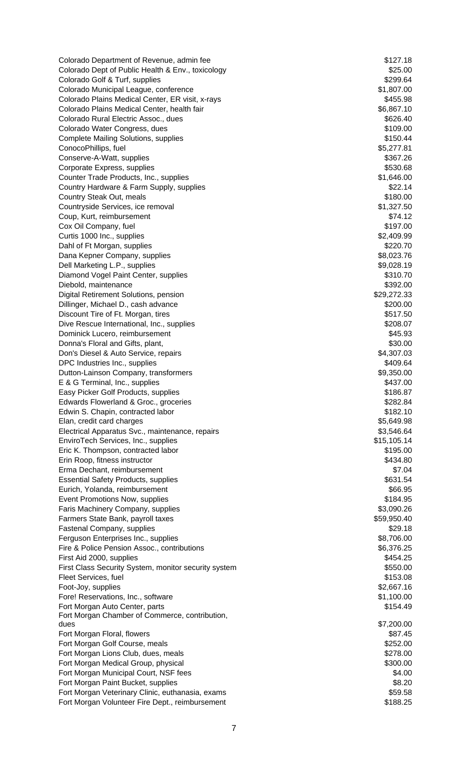| Colorado Department of Revenue, admin fee                                    | \$127.18                |
|------------------------------------------------------------------------------|-------------------------|
| Colorado Dept of Public Health & Env., toxicology                            | \$25.00                 |
| Colorado Golf & Turf, supplies                                               | \$299.64                |
| Colorado Municipal League, conference                                        | \$1,807.00              |
| Colorado Plains Medical Center, ER visit, x-rays                             | \$455.98                |
| Colorado Plains Medical Center, health fair                                  | \$6,867.10              |
| Colorado Rural Electric Assoc., dues                                         | \$626.40                |
| Colorado Water Congress, dues                                                | \$109.00<br>\$150.44    |
| <b>Complete Mailing Solutions, supplies</b><br>ConocoPhillips, fuel          | \$5,277.81              |
| Conserve-A-Watt, supplies                                                    | \$367.26                |
| Corporate Express, supplies                                                  | \$530.68                |
| Counter Trade Products, Inc., supplies                                       | \$1,646.00              |
| Country Hardware & Farm Supply, supplies                                     | \$22.14                 |
| Country Steak Out, meals                                                     | \$180.00                |
| Countryside Services, ice removal                                            | \$1,327.50              |
| Coup, Kurt, reimbursement                                                    | \$74.12                 |
| Cox Oil Company, fuel                                                        | \$197.00                |
| Curtis 1000 Inc., supplies                                                   | \$2,409.99              |
| Dahl of Ft Morgan, supplies                                                  | \$220.70                |
| Dana Kepner Company, supplies                                                | \$8,023.76              |
| Dell Marketing L.P., supplies                                                | \$9,028.19              |
| Diamond Vogel Paint Center, supplies                                         | \$310.70                |
| Diebold, maintenance                                                         | \$392.00                |
| Digital Retirement Solutions, pension                                        | \$29,272.33<br>\$200.00 |
| Dillinger, Michael D., cash advance<br>Discount Tire of Ft. Morgan, tires    | \$517.50                |
| Dive Rescue International, Inc., supplies                                    | \$208.07                |
| Dominick Lucero, reimbursement                                               | \$45.93                 |
| Donna's Floral and Gifts, plant,                                             | \$30.00                 |
| Don's Diesel & Auto Service, repairs                                         | \$4,307.03              |
| DPC Industries Inc., supplies                                                | \$409.64                |
| Dutton-Lainson Company, transformers                                         | \$9,350.00              |
| E & G Terminal, Inc., supplies                                               | \$437.00                |
| Easy Picker Golf Products, supplies                                          | \$186.87                |
| Edwards Flowerland & Groc., groceries                                        | \$282.84                |
| Edwin S. Chapin, contracted labor                                            | \$182.10                |
| Elan, credit card charges                                                    | \$5,649.98              |
| Electrical Apparatus Svc., maintenance, repairs                              | \$3,546.64              |
| EnviroTech Services, Inc., supplies                                          | \$15,105.14             |
| Eric K. Thompson, contracted labor                                           | \$195.00                |
| Erin Roop, fitness instructor                                                | \$434.80                |
| Erma Dechant, reimbursement                                                  | \$7.04                  |
| <b>Essential Safety Products, supplies</b><br>Eurich, Yolanda, reimbursement | \$631.54<br>\$66.95     |
| Event Promotions Now, supplies                                               | \$184.95                |
| Faris Machinery Company, supplies                                            | \$3,090.26              |
| Farmers State Bank, payroll taxes                                            | \$59,950.40             |
| <b>Fastenal Company, supplies</b>                                            | \$29.18                 |
| Ferguson Enterprises Inc., supplies                                          | \$8,706.00              |
| Fire & Police Pension Assoc., contributions                                  | \$6,376.25              |
| First Aid 2000, supplies                                                     | \$454.25                |
| First Class Security System, monitor security system                         | \$550.00                |
| Fleet Services, fuel                                                         | \$153.08                |
| Foot-Joy, supplies                                                           | \$2,667.16              |
| Fore! Reservations, Inc., software                                           | \$1,100.00              |
| Fort Morgan Auto Center, parts                                               | \$154.49                |
| Fort Morgan Chamber of Commerce, contribution,                               |                         |
| dues                                                                         | \$7,200.00<br>\$87.45   |
| Fort Morgan Floral, flowers<br>Fort Morgan Golf Course, meals                | \$252.00                |
| Fort Morgan Lions Club, dues, meals                                          | \$278.00                |
| Fort Morgan Medical Group, physical                                          | \$300.00                |
| Fort Morgan Municipal Court, NSF fees                                        | \$4.00                  |
| Fort Morgan Paint Bucket, supplies                                           | \$8.20                  |
| Fort Morgan Veterinary Clinic, euthanasia, exams                             | \$59.58                 |
| Fort Morgan Volunteer Fire Dept., reimbursement                              | \$188.25                |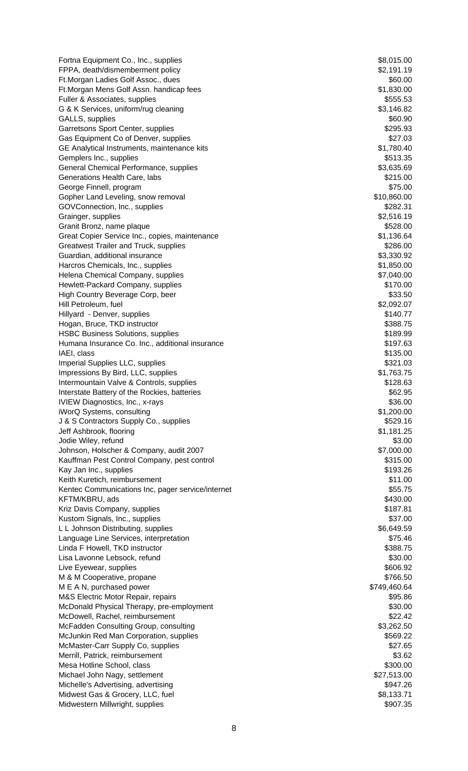Fortna Equipment Co., Inc., supplies  $$8,015.00$ FPPA, death/dismemberment policy and the state of the state of the state of the state of the state of the state of the state of the state of the state of the state of the state of the state of the state of the state of the Ft.Morgan Ladies Golf Assoc., dues \$60.00 Ft.Morgan Mens Golf Assn. handicap fees \$1,830.00 Fuller & Associates, supplies  $$555.53$ G & K Services, uniform/rug cleaning  $$3,146.82$ GALLS, supplies  $$60.90$ Garretsons Sport Center, supplies \$295.93 Gas Equipment Co of Denver, supplies  $$27.03$ GE Analytical Instruments, maintenance kits **61,780.40** \$1,780.40 Gemplers Inc., supplies  $$513.35$ General Chemical Performance, supplies  $$3,635.69$ Generations Health Care, labs  $$215.00$ George Finnell, program  $$75.00$ Gopher Land Leveling, snow removal **\$10,860.00** \$10,860.00 GOVConnection, Inc., supplies  $$282.31$ Grainger, supplies  $$2,516.19$ Granit Bronz, name plaque  $$528.00$ Great Copier Service Inc., copies, maintenance  $$1,136.64$ Greatwest Trailer and Truck, supplies  $$286.00$ Guardian, additional insurance \$3,330.92 Harcros Chemicals, Inc., supplies  $$1,850.00$ Helena Chemical Company, supplies  $$7,040.00$ Hewlett-Packard Company, supplies  $$170.00$ High Country Beverage Corp, beer \$33.50 Hill Petroleum, fuel **\$2,092.07** Hillyard - Denver, supplies  $$140.77$ Hogan, Bruce, TKD instructor  $$388.75$ HSBC Business Solutions, supplies **\$189.99** \$189.99 Humana Insurance Co. Inc., additional insurance **\$197.63** \$197.63  $I$ AEI, class  $$135.00$ Imperial Supplies LLC, supplies  $\blacktriangleright$  1.1  $\blacktriangleright$  1.1  $\blacktriangleright$  1.1  $\blacktriangleright$  1.1  $\blacktriangleright$  1.1  $\blacktriangleright$  1.1  $\blacktriangleright$  1.1  $\blacktriangleright$  1.1  $\blacktriangleright$  1.1  $\blacktriangleright$  1.1  $\blacktriangleright$  1.1  $\blacktriangleright$  1.1  $\blacktriangleright$  1.1  $\blacktriangleright$  1.1  $\blacktriangleright$  1.1  $\blacktriangleright$  1. Impressions By Bird, LLC, supplies  $$1,763.75$ Intermountain Valve & Controls, supplies  $$128.63$ Interstate Battery of the Rockies, batteries  $$62.95$ IVIEW Diagnostics, Inc., x-rays  $$36.00$ iWorQ Systems, consulting  $$1,200.00$ J & S Contractors Supply Co., supplies  $\frac{1}{2}$  supplies  $\frac{5529.16}{2}$ Jeff Ashbrook, flooring \$1,181.25 Jodie Wiley, refund \$3.00 Johnson, Holscher & Company, audit 2007 \$7,000.00 Kauffman Pest Control Company, pest control  $$315.00$ Kay Jan Inc., supplies  $$193.26$ Keith Kuretich, reimbursement  $$11.00$ Kentec Communications Inc, pager service/internet  $$55.75$ KFTM/KBRU, ads \$430.00 Kriz Davis Company, supplies  $$187.81$ Kustom Signals, Inc., supplies  $$37.00$ L L Johnson Distributing, supplies  $$6,649.59$ Language Line Services, interpretation  $$75.46$ Linda F Howell, TKD instructor  $$388.75$ Lisa Lavonne Lebsock, refund \$30.00 Live Eyewear, supplies  $\sim$  5606.92 M & M Cooperative, propane  $$766.50$ M E A N, purchased power \$749,460.64 M&S Electric Motor Repair, repairs \$95.86 McDonald Physical Therapy, pre-employment  $$30.00$ McDowell, Rachel, reimbursement  $$22.42$ McFadden Consulting Group, consulting  $$3,262.50$ McJunkin Red Man Corporation, supplies  $$569.22$ McMaster-Carr Supply Co, supplies  $$27.65$ Merrill, Patrick, reimbursement  $$3.62$ Mesa Hotline School, class \$300.00 Michael John Nagy, settlement  $$27,513.00$ Michelle's Advertising, advertising  $$947.26$ Midwest Gas & Grocery, LLC, fuel \$8,133.71 Midwestern Millwright, supplies  $$907.35$ 

8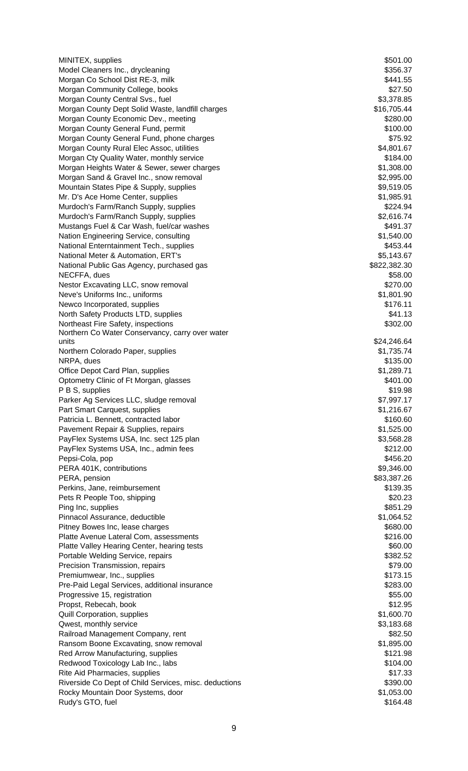| MINITEX, supplies                                                                          | \$501.00                |
|--------------------------------------------------------------------------------------------|-------------------------|
| Model Cleaners Inc., drycleaning                                                           | \$356.37                |
| Morgan Co School Dist RE-3, milk                                                           | \$441.55                |
| Morgan Community College, books                                                            | \$27.50                 |
| Morgan County Central Svs., fuel                                                           | \$3,378.85              |
| Morgan County Dept Solid Waste, landfill charges                                           | \$16,705.44             |
| Morgan County Economic Dev., meeting                                                       | \$280.00                |
| Morgan County General Fund, permit                                                         | \$100.00<br>\$75.92     |
| Morgan County General Fund, phone charges<br>Morgan County Rural Elec Assoc, utilities     | \$4,801.67              |
| Morgan Cty Quality Water, monthly service                                                  | \$184.00                |
| Morgan Heights Water & Sewer, sewer charges                                                | \$1,308.00              |
| Morgan Sand & Gravel Inc., snow removal                                                    | \$2,995.00              |
| Mountain States Pipe & Supply, supplies                                                    | \$9,519.05              |
| Mr. D's Ace Home Center, supplies                                                          | \$1,985.91              |
| Murdoch's Farm/Ranch Supply, supplies                                                      | \$224.94                |
| Murdoch's Farm/Ranch Supply, supplies                                                      | \$2,616.74              |
| Mustangs Fuel & Car Wash, fuel/car washes                                                  | \$491.37                |
| Nation Engineering Service, consulting                                                     | \$1,540.00              |
| National Enterntainment Tech., supplies                                                    | \$453.44                |
| National Meter & Automation, ERT's                                                         | \$5,143.67              |
| National Public Gas Agency, purchased gas                                                  | \$822,382.30            |
| NECFFA, dues                                                                               | \$58.00                 |
| Nestor Excavating LLC, snow removal                                                        | \$270.00                |
| Neve's Uniforms Inc., uniforms                                                             | \$1,801.90              |
| Newco Incorporated, supplies                                                               | \$176.11                |
| North Safety Products LTD, supplies                                                        | \$41.13                 |
| Northeast Fire Safety, inspections<br>Northern Co Water Conservancy, carry over water      | \$302.00                |
| units                                                                                      | \$24,246.64             |
| Northern Colorado Paper, supplies                                                          | \$1,735.74              |
| NRPA, dues                                                                                 | \$135.00                |
| Office Depot Card Plan, supplies                                                           | \$1,289.71              |
| Optometry Clinic of Ft Morgan, glasses                                                     | \$401.00                |
| P B S, supplies                                                                            | \$19.98                 |
| Parker Ag Services LLC, sludge removal                                                     | \$7,997.17              |
| Part Smart Carquest, supplies                                                              | \$1,216.67              |
| Patricia L. Bennett, contracted labor                                                      | \$160.60                |
| Pavement Repair & Supplies, repairs                                                        | \$1,525.00              |
| PayFlex Systems USA, Inc. sect 125 plan                                                    | \$3,568.28              |
| PayFlex Systems USA, Inc., admin fees                                                      | \$212.00                |
| Pepsi-Cola, pop                                                                            | \$456.20                |
| PERA 401K, contributions                                                                   | \$9,346.00              |
| PERA, pension<br>Perkins, Jane, reimbursement                                              | \$83,387.26<br>\$139.35 |
| Pets R People Too, shipping                                                                | \$20.23                 |
| Ping Inc, supplies                                                                         | \$851.29                |
| Pinnacol Assurance, deductible                                                             | \$1,064.52              |
| Pitney Bowes Inc, lease charges                                                            | \$680.00                |
| Platte Avenue Lateral Com, assessments                                                     | \$216.00                |
| Platte Valley Hearing Center, hearing tests                                                | \$60.00                 |
| Portable Welding Service, repairs                                                          | \$382.52                |
| Precision Transmission, repairs                                                            | \$79.00                 |
| Premiumwear, Inc., supplies                                                                | \$173.15                |
| Pre-Paid Legal Services, additional insurance                                              | \$283.00                |
| Progressive 15, registration                                                               | \$55.00                 |
| Propst, Rebecah, book                                                                      | \$12.95                 |
| <b>Quill Corporation, supplies</b>                                                         | \$1,600.70              |
| Qwest, monthly service                                                                     | \$3,183.68              |
| Railroad Management Company, rent                                                          | \$82.50                 |
| Ransom Boone Excavating, snow removal                                                      | \$1,895.00              |
| Red Arrow Manufacturing, supplies                                                          | \$121.98                |
| Redwood Toxicology Lab Inc., labs                                                          | \$104.00                |
| Rite Aid Pharmacies, supplies                                                              | \$17.33                 |
| Riverside Co Dept of Child Services, misc. deductions<br>Rocky Mountain Door Systems, door | \$390.00<br>\$1,053.00  |
| Rudy's GTO, fuel                                                                           | \$164.48                |
|                                                                                            |                         |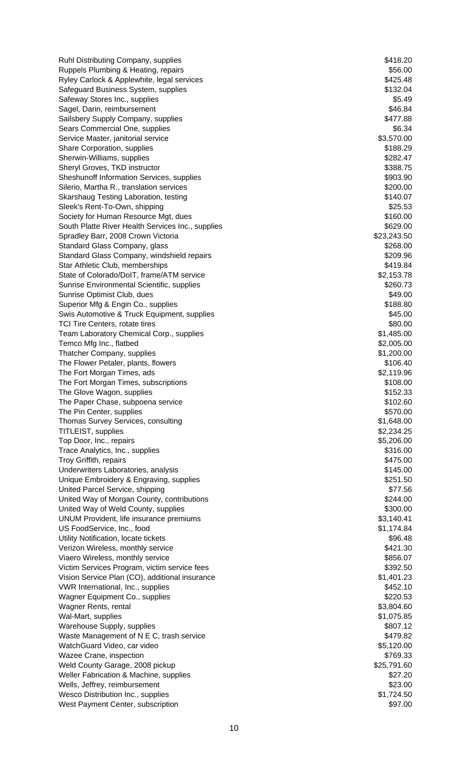Ruhl Distributing Company, supplies  $$418.20$ Ruppels Plumbing & Heating, repairs \$56.00 Ryley Carlock & Applewhite, legal services  $$425.48$ Safeguard Business System, supplies \$132.04 Safeway Stores Inc., supplies  $$5.49$ Sagel, Darin, reimbursement \$46.84 Sailsbery Supply Company, supplies  $$477.88$ Sears Commercial One, supplies  $$6.34$ Service Master, janitorial service **\$3,570.00** \$3,570.00 Share Corporation, supplies  $$188.29$ Sherwin-Williams, supplies  $$282.47$ Shervl Groves, TKD instructor  $$388.75$ Sheshunoff Information Services, supplies  $$903.90$ Silerio, Martha R., translation services \$200.00 Skarshaug Testing Laboration, testing  $\frac{1}{2}$  states that the state  $\frac{1}{2}$  states in the state  $\frac{1}{2}$  states in the state  $\frac{1}{2}$  states in the state  $\frac{1}{2}$  states in the state  $\frac{1}{2}$  states in the state  $\$ Sleek's Rent-To-Own, shipping \$25.53 Society for Human Resource Mgt, dues \$160.00 South Platte River Health Services Inc., supplies  $$629.00$ Spradley Barr, 2008 Crown Victoria  $$23,243.50$ Standard Glass Company, glass  $$268.00$ Standard Glass Company, windshield repairs  $$209.96$ Star Athletic Club, memberships  $$419.84$ State of Colorado/DoIT, frame/ATM service \$2,153.78 Sunrise Environmental Scientific, supplies  $$260.73$ Sunrise Optimist Club, dues \$49.00 Superior Mfg & Engin Co., supplies \$188.80 Swis Automotive & Truck Equipment, supplies  $$45.00$ TCI Tire Centers, rotate tires \$80.00 Team Laboratory Chemical Corp., supplies  $$1,485.00$ Temco Mfg Inc., flatbed  $$2,005.00$ Thatcher Company, supplies  $$1,200.00$ The Flower Petaler, plants, flowers  $$106.40$ The Fort Morgan Times, ads \$2,119.96 The Fort Morgan Times, subscriptions  $$108.00$ The Glove Wagon, supplies \$152.33 The Paper Chase, subpoena service  $$102.60$ The Pin Center, supplies  $$570.00$ Thomas Survey Services, consulting  $$1,648.00$ TITLEIST, supplies \$2,234.25 Top Door, Inc., repairs \$5,206.00 Trace Analytics, Inc., supplies  $$316.00$ Troy Griffith, repairs  $$475.00$ Underwriters Laboratories, analysis **\$145.00 CONFIDENT CONFIDENTIAL CONFIDENT \$145.00** Unique Embroidery & Engraving, supplies  $$251.50$ United Parcel Service, shipping  $$77.56$ United Way of Morgan County, contributions  $$244.00$ United Way of Weld County, supplies  $$300.00$ UNUM Provident, life insurance premiums  $$3,140.41$ US FoodService, Inc., food **\$1,174.84** Utility Notification, locate tickets \$96.48 Verizon Wireless, monthly service  $$421.30$ Viaero Wireless, monthly service **\$856.07** and the service state of the service state of the service state state  $\sim$ Victim Services Program, victim service fees **\$392.50** \$392.50 Vision Service Plan (CO), additional insurance  $$1,401.23$ VWR International, Inc., supplies  $$452.10$ Wagner Equipment Co., supplies  $$220.53$ Wagner Rents, rental \$3,804.60 Wal-Mart, supplies  $$1,075.85$ Warehouse Supply, supplies  $$807.12$ Waste Management of N E C, trash service **\$479.82 \$479.82** WatchGuard Video, car video **\$5,120.00** 85,120.00 Wazee Crane, inspection  $$769.33$ Weld County Garage, 2008 pickup \$25,791.60 Weller Fabrication & Machine, supplies  $$27.20$ Wells, Jeffrey, reimbursement  $$23.00$ Wesco Distribution Inc., supplies  $$1,724.50$ West Payment Center, subscription  $$97.00$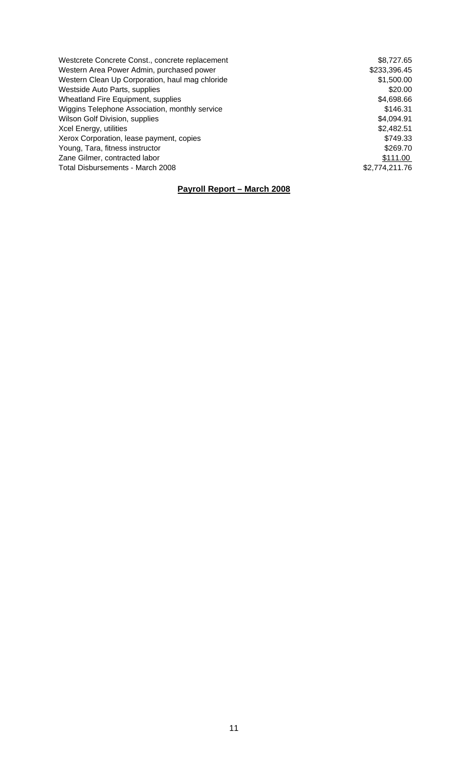| Westcrete Concrete Const., concrete replacement | \$8,727.65     |
|-------------------------------------------------|----------------|
| Western Area Power Admin, purchased power       | \$233,396.45   |
| Western Clean Up Corporation, haul mag chloride | \$1,500.00     |
| Westside Auto Parts, supplies                   | \$20.00        |
| Wheatland Fire Equipment, supplies              | \$4,698.66     |
| Wiggins Telephone Association, monthly service  | \$146.31       |
| Wilson Golf Division, supplies                  | \$4,094.91     |
| Xcel Energy, utilities                          | \$2,482.51     |
| Xerox Corporation, lease payment, copies        | \$749.33       |
| Young, Tara, fitness instructor                 | \$269.70       |
| Zane Gilmer, contracted labor                   | \$111.00       |
| Total Disbursements - March 2008                | \$2,774,211.76 |

# **Payroll Report – March 2008**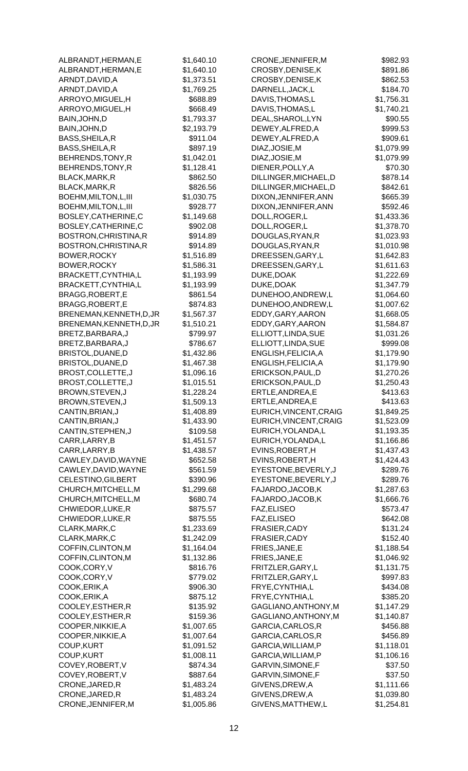| ALBRANDT, HERMAN, E      | \$1,640.10 | CRONE, JENNIFER, M     | \$982.93   |
|--------------------------|------------|------------------------|------------|
| ALBRANDT, HERMAN, E      | \$1,640.10 | CROSBY, DENISE, K      | \$891.86   |
| ARNDT, DAVID, A          | \$1,373.51 | CROSBY, DENISE, K      | \$862.53   |
| ARNDT, DAVID, A          | \$1,769.25 | DARNELL, JACK, L       | \$184.70   |
| ARROYO, MIGUEL, H        | \$688.89   | DAVIS, THOMAS, L       | \$1,756.31 |
| ARROYO, MIGUEL, H        | \$668.49   | DAVIS, THOMAS, L       | \$1,740.21 |
|                          |            |                        |            |
| BAIN, JOHN, D            | \$1,793.37 | DEAL, SHAROL, LYN      | \$90.55    |
| BAIN, JOHN, D            | \$2,193.79 | DEWEY, ALFRED, A       | \$999.53   |
| BASS, SHEILA, R          | \$911.04   | DEWEY, ALFRED, A       | \$909.61   |
| BASS, SHEILA, R          | \$897.19   | DIAZ, JOSIE, M         | \$1,079.99 |
| BEHRENDS, TONY, R        | \$1,042.01 | DIAZ, JOSIE, M         | \$1,079.99 |
|                          |            |                        |            |
| BEHRENDS, TONY, R        | \$1,128.41 | DIENER, POLLY, A       | \$70.30    |
| <b>BLACK, MARK, R</b>    | \$862.50   | DILLINGER, MICHAEL, D  | \$878.14   |
| BLACK, MARK, R           | \$826.56   | DILLINGER, MICHAEL, D  | \$842.61   |
| BOEHM, MILTON, L, III    | \$1,030.75 | DIXON, JENNIFER, ANN   | \$665.39   |
| BOEHM, MILTON, L, III    | \$928.77   | DIXON, JENNIFER, ANN   | \$592.46   |
| BOSLEY, CATHERINE, C     | \$1,149.68 | DOLL, ROGER, L         | \$1,433.36 |
|                          |            |                        |            |
| BOSLEY, CATHERINE, C     | \$902.08   | DOLL, ROGER, L         | \$1,378.70 |
| BOSTRON, CHRISTINA, R    | \$914.89   | DOUGLAS, RYAN, R       | \$1,023.93 |
| BOSTRON, CHRISTINA, R    | \$914.89   | DOUGLAS, RYAN, R       | \$1,010.98 |
| <b>BOWER, ROCKY</b>      | \$1,516.89 | DREESSEN, GARY, L      | \$1,642.83 |
| <b>BOWER, ROCKY</b>      | \$1,586.31 | DREESSEN, GARY, L      | \$1,611.63 |
| BRACKETT, CYNTHIA, L     | \$1,193.99 | DUKE, DOAK             | \$1,222.69 |
|                          |            |                        |            |
| BRACKETT, CYNTHIA, L     | \$1,193.99 | DUKE, DOAK             | \$1,347.79 |
| BRAGG, ROBERT, E         | \$861.54   | DUNEHOO, ANDREW, L     | \$1,064.60 |
| BRAGG, ROBERT, E         | \$874.83   | DUNEHOO, ANDREW, L     | \$1,007.62 |
| BRENEMAN, KENNETH, D, JR | \$1,567.37 | EDDY, GARY, AARON      | \$1,668.05 |
| BRENEMAN, KENNETH, D, JR | \$1,510.21 | EDDY, GARY, AARON      | \$1,584.87 |
| BRETZ, BARBARA, J        | \$799.97   | ELLIOTT, LINDA, SUE    | \$1,031.26 |
| BRETZ, BARBARA, J        | \$786.67   | ELLIOTT, LINDA, SUE    | \$999.08   |
| BRISTOL, DUANE, D        | \$1,432.86 |                        | \$1,179.90 |
|                          |            | ENGLISH, FELICIA, A    |            |
| BRISTOL, DUANE, D        | \$1,467.38 | ENGLISH, FELICIA, A    | \$1,179.90 |
| BROST, COLLETTE, J       | \$1,096.16 | ERICKSON, PAUL, D      | \$1,270.26 |
| BROST, COLLETTE, J       | \$1,015.51 | ERICKSON, PAUL, D      | \$1,250.43 |
| BROWN, STEVEN, J         | \$1,228.24 | ERTLE, ANDREA, E       | \$413.63   |
| BROWN, STEVEN, J         | \$1,509.13 | ERTLE, ANDREA, E       | \$413.63   |
| CANTIN, BRIAN, J         | \$1,408.89 | EURICH, VINCENT, CRAIG | \$1,849.25 |
| CANTIN, BRIAN, J         | \$1,433.90 | EURICH, VINCENT, CRAIG | \$1,523.09 |
|                          |            |                        |            |
| CANTIN, STEPHEN, J       | \$109.58   | EURICH, YOLANDA, L     | \$1,193.35 |
| CARR, LARRY, B           | \$1,451.57 | EURICH, YOLANDA, L     | \$1,166.86 |
| CARR, LARRY, B           | \$1,438.57 | EVINS, ROBERT, H       | \$1,437.43 |
| CAWLEY, DAVID, WAYNE     | \$652.58   | EVINS, ROBERT, H       | \$1,424.43 |
| CAWLEY, DAVID, WAYNE     | \$561.59   | EYESTONE, BEVERLY, J   | \$289.76   |
| CELESTINO, GILBERT       | \$390.96   | EYESTONE, BEVERLY, J   | \$289.76   |
| CHURCH, MITCHELL, M      | \$1,299.68 | FAJARDO, JACOB, K      | \$1,287.63 |
| CHURCH, MITCHELL, M      | \$680.74   | FAJARDO, JACOB, K      | \$1,666.76 |
|                          |            |                        |            |
| CHWIEDOR, LUKE, R        | \$875.57   | FAZ, ELISEO            | \$573.47   |
| CHWIEDOR, LUKE, R        | \$875.55   | FAZ, ELISEO            | \$642.08   |
| CLARK, MARK, C           | \$1,233.69 | FRASIER, CADY          | \$131.24   |
| CLARK, MARK, C           | \$1,242.09 | FRASIER, CADY          | \$152.40   |
| COFFIN, CLINTON, M       | \$1,164.04 | FRIES, JANE, E         | \$1,188.54 |
| COFFIN, CLINTON, M       | \$1,132.86 | FRIES, JANE, E         | \$1,046.92 |
| COOK,CORY, V             | \$816.76   | FRITZLER, GARY, L      | \$1,131.75 |
|                          |            |                        | \$997.83   |
| COOK,CORY,V              | \$779.02   | FRITZLER, GARY, L      |            |
| COOK, ERIK, A            | \$906.30   | FRYE, CYNTHIA, L       | \$434.08   |
| COOK, ERIK, A            | \$875.12   | FRYE, CYNTHIA, L       | \$385.20   |
| COOLEY, ESTHER, R        | \$135.92   | GAGLIANO, ANTHONY, M   | \$1,147.29 |
| COOLEY, ESTHER, R        | \$159.36   | GAGLIANO, ANTHONY, M   | \$1,140.87 |
| COOPER, NIKKIE, A        | \$1,007.65 | GARCIA, CARLOS, R      | \$456.88   |
| COOPER, NIKKIE, A        | \$1,007.64 | GARCIA, CARLOS, R      | \$456.89   |
| COUP, KURT               | \$1,091.52 | GARCIA, WILLIAM, P     | \$1,118.01 |
|                          |            |                        |            |
| <b>COUP, KURT</b>        | \$1,008.11 | GARCIA, WILLIAM, P     | \$1,106.16 |
| COVEY, ROBERT, V         | \$874.34   | GARVIN, SIMONE, F      | \$37.50    |
| COVEY, ROBERT, V         | \$887.64   | GARVIN, SIMONE, F      | \$37.50    |
| CRONE, JARED, R          | \$1,483.24 | GIVENS, DREW, A        | \$1,111.66 |
| CRONE, JARED, R          | \$1,483.24 | GIVENS, DREW, A        | \$1,039.80 |
| CRONE, JENNIFER, M       | \$1,005.86 | GIVENS, MATTHEW, L     | \$1,254.81 |
|                          |            |                        |            |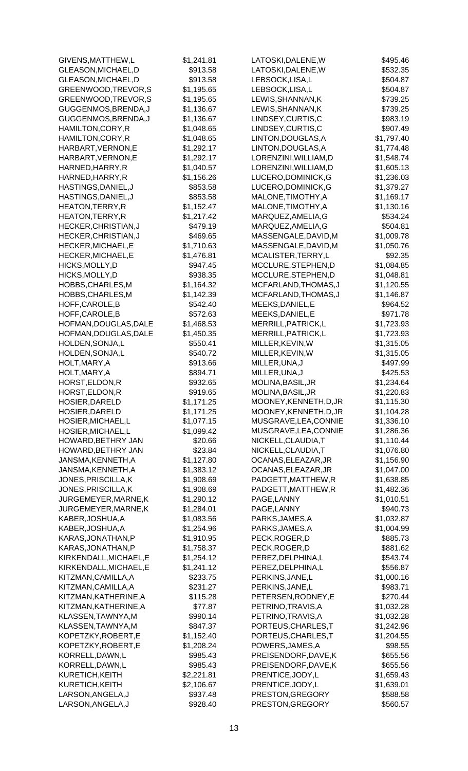| GIVENS, MATTHEW, L     | \$1,241.81 | LATOSKI, DALENE, W     | \$495.46   |
|------------------------|------------|------------------------|------------|
| GLEASON, MICHAEL, D    | \$913.58   | LATOSKI, DALENE, W     | \$532.35   |
|                        |            |                        |            |
| GLEASON, MICHAEL, D    | \$913.58   | LEBSOCK,LISA,L         | \$504.87   |
| GREENWOOD, TREVOR, S   | \$1,195.65 | LEBSOCK,LISA,L         | \$504.87   |
| GREENWOOD, TREVOR, S   | \$1,195.65 | LEWIS, SHANNAN, K      | \$739.25   |
| GUGGENMOS, BRENDA, J   | \$1,136.67 | LEWIS, SHANNAN, K      | \$739.25   |
|                        |            |                        |            |
| GUGGENMOS, BRENDA, J   | \$1,136.67 | LINDSEY, CURTIS, C     | \$983.19   |
| HAMILTON, CORY, R      | \$1,048.65 | LINDSEY, CURTIS, C     | \$907.49   |
| HAMILTON, CORY, R      | \$1,048.65 | LINTON, DOUGLAS, A     | \$1,797.40 |
|                        |            |                        |            |
| HARBART, VERNON, E     | \$1,292.17 | LINTON, DOUGLAS, A     | \$1,774.48 |
| HARBART, VERNON, E     | \$1,292.17 | LORENZINI, WILLIAM, D  | \$1,548.74 |
| HARNED, HARRY, R       | \$1,040.57 | LORENZINI, WILLIAM, D  | \$1,605.13 |
|                        |            |                        |            |
| HARNED, HARRY, R       | \$1,156.26 | LUCERO, DOMINICK, G    | \$1,236.03 |
| HASTINGS, DANIEL, J    | \$853.58   | LUCERO, DOMINICK, G    | \$1,379.27 |
| HASTINGS, DANIEL, J    | \$853.58   | MALONE, TIMOTHY, A     | \$1,169.17 |
|                        |            |                        |            |
| HEATON, TERRY, R       | \$1,152.47 | MALONE, TIMOTHY, A     | \$1,130.16 |
| HEATON, TERRY, R       | \$1,217.42 | MARQUEZ, AMELIA, G     | \$534.24   |
| HECKER, CHRISTIAN, J   | \$479.19   | MARQUEZ, AMELIA, G     | \$504.81   |
|                        |            |                        |            |
| HECKER, CHRISTIAN, J   | \$469.65   | MASSENGALE, DAVID, M   | \$1,009.78 |
| HECKER, MICHAEL, E     | \$1,710.63 | MASSENGALE, DAVID, M   | \$1,050.76 |
| HECKER, MICHAEL, E     | \$1,476.81 | MCALISTER, TERRY, L    | \$92.35    |
|                        |            |                        |            |
| HICKS, MOLLY, D        | \$947.45   | MCCLURE, STEPHEN, D    | \$1,084.85 |
| HICKS, MOLLY, D        | \$938.35   | MCCLURE, STEPHEN, D    | \$1,048.81 |
| HOBBS, CHARLES, M      | \$1,164.32 | MCFARLAND, THOMAS, J   | \$1,120.55 |
|                        |            |                        |            |
| HOBBS, CHARLES, M      | \$1,142.39 | MCFARLAND, THOMAS, J   | \$1,146.87 |
| HOFF, CAROLE, B        | \$542.40   | MEEKS, DANIEL, E       | \$964.52   |
| HOFF, CAROLE, B        | \$572.63   | MEEKS, DANIEL, E       | \$971.78   |
|                        |            |                        |            |
| HOFMAN, DOUGLAS, DALE  | \$1,468.53 | MERRILL, PATRICK, L    | \$1,723.93 |
| HOFMAN, DOUGLAS, DALE  | \$1,450.35 | MERRILL, PATRICK, L    | \$1,723.93 |
| HOLDEN, SONJA, L       | \$550.41   | MILLER, KEVIN, W       | \$1,315.05 |
| HOLDEN, SONJA, L       | \$540.72   | MILLER, KEVIN, W       | \$1,315.05 |
|                        |            |                        |            |
| HOLT, MARY, A          | \$913.66   | MILLER, UNA, J         | \$497.99   |
| HOLT, MARY, A          | \$894.71   | MILLER, UNA, J         | \$425.53   |
| HORST, ELDON, R        | \$932.65   | MOLINA, BASIL, JR      | \$1,234.64 |
|                        |            |                        |            |
| HORST, ELDON, R        | \$919.65   | MOLINA, BASIL, JR      | \$1,220.83 |
| HOSIER, DARELD         | \$1,171.25 | MOONEY, KENNETH, D, JR | \$1,115.30 |
| HOSIER, DARELD         | \$1,171.25 | MOONEY, KENNETH, D, JR | \$1,104.28 |
|                        |            |                        |            |
| HOSIER, MICHAEL, L     | \$1,077.15 | MUSGRAVE, LEA, CONNIE  | \$1,336.10 |
| HOSIER, MICHAEL, L     | \$1,099.42 | MUSGRAVE, LEA, CONNIE  | \$1,286.36 |
| HOWARD, BETHRY JAN     | \$20.66    | NICKELL, CLAUDIA, T    | \$1,110.44 |
|                        |            |                        |            |
| HOWARD, BETHRY JAN     | \$23.84    | NICKELL, CLAUDIA, T    | \$1,076.80 |
| JANSMA, KENNETH, A     | \$1,127.80 | OCANAS, ELEAZAR, JR    | \$1,156.90 |
| JANSMA, KENNETH, A     | \$1,383.12 | OCANAS, ELEAZAR, JR    | \$1,047.00 |
| JONES, PRISCILLA, K    | \$1,908.69 | PADGETT, MATTHEW, R    | \$1,638.85 |
|                        |            |                        |            |
| JONES, PRISCILLA, K    | \$1,908.69 | PADGETT, MATTHEW, R    | \$1,482.36 |
| JURGEMEYER, MARNE, K   | \$1,290.12 | PAGE, LANNY            | \$1,010.51 |
| JURGEMEYER, MARNE, K   | \$1,284.01 | PAGE, LANNY            | \$940.73   |
|                        |            |                        |            |
| KABER, JOSHUA, A       | \$1,083.56 | PARKS, JAMES, A        | \$1,032.87 |
| KABER, JOSHUA, A       | \$1,254.96 | PARKS, JAMES, A        | \$1,004.99 |
| KARAS, JONATHAN, P     | \$1,910.95 | PECK, ROGER, D         | \$885.73   |
|                        |            |                        |            |
| KARAS, JONATHAN, P     | \$1,758.37 | PECK, ROGER, D         | \$881.62   |
| KIRKENDALL, MICHAEL, E | \$1,254.12 | PEREZ, DELPHINA, L     | \$543.74   |
| KIRKENDALL, MICHAEL, E | \$1,241.12 | PEREZ, DELPHINA, L     | \$556.87   |
|                        |            | PERKINS, JANE, L       | \$1,000.16 |
| KITZMAN, CAMILLA, A    | \$233.75   |                        |            |
| KITZMAN, CAMILLA, A    | \$231.27   | PERKINS, JANE, L       | \$983.71   |
| KITZMAN, KATHERINE, A  | \$115.28   | PETERSEN, RODNEY, E    | \$270.44   |
| KITZMAN, KATHERINE, A  | \$77.87    | PETRINO, TRAVIS, A     | \$1,032.28 |
|                        |            |                        |            |
| KLASSEN, TAWNYA, M     | \$990.14   | PETRINO, TRAVIS, A     | \$1,032.28 |
| KLASSEN, TAWNYA, M     | \$847.37   | PORTEUS, CHARLES, T    | \$1,242.96 |
| KOPETZKY, ROBERT, E    | \$1,152.40 | PORTEUS, CHARLES, T    | \$1,204.55 |
|                        |            |                        |            |
| KOPETZKY, ROBERT, E    | \$1,208.24 | POWERS, JAMES, A       | \$98.55    |
| KORRELL, DAWN, L       | \$985.43   | PREISENDORF, DAVE, K   | \$655.56   |
| KORRELL, DAWN, L       | \$985.43   | PREISENDORF, DAVE, K   | \$655.56   |
|                        |            |                        |            |
| KURETICH, KEITH        | \$2,221.81 | PRENTICE, JODY, L      | \$1,659.43 |
| KURETICH, KEITH        | \$2,106.67 | PRENTICE, JODY, L      | \$1,639.01 |
| LARSON, ANGELA, J      | \$937.48   | PRESTON, GREGORY       | \$588.58   |
| LARSON, ANGELA, J      | \$928.40   | PRESTON, GREGORY       | \$560.57   |
|                        |            |                        |            |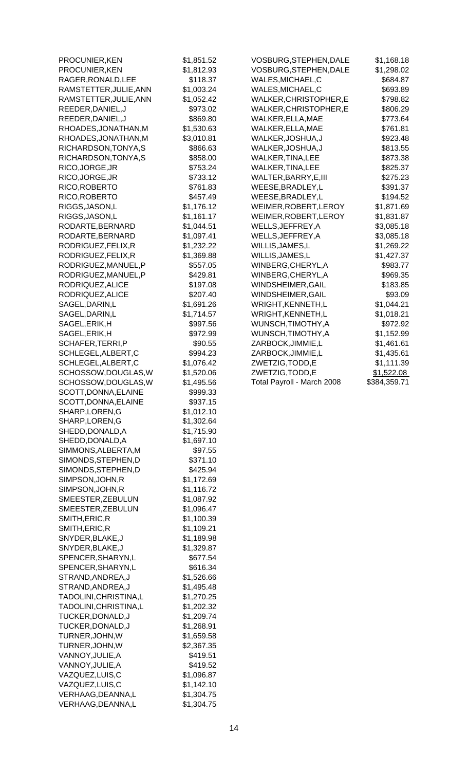| PROCUNIER, KEN         | \$1,851.52 | VOSBURG, STEPHEN, DALE     | \$1,168.18   |
|------------------------|------------|----------------------------|--------------|
| PROCUNIER, KEN         | \$1,812.93 | VOSBURG, STEPHEN, DALE     | \$1,298.02   |
| RAGER, RONALD, LEE     | \$118.37   | WALES, MICHAEL, C          | \$684.87     |
| RAMSTETTER, JULIE, ANN | \$1,003.24 | WALES, MICHAEL, C          | \$693.89     |
| RAMSTETTER, JULIE, ANN | \$1,052.42 | WALKER, CHRISTOPHER, E     | \$798.82     |
| REEDER, DANIEL, J      | \$973.02   | WALKER, CHRISTOPHER, E     | \$806.29     |
| REEDER, DANIEL, J      | \$869.80   | WALKER, ELLA, MAE          | \$773.64     |
|                        |            |                            |              |
| RHOADES, JONATHAN, M   | \$1,530.63 | WALKER, ELLA, MAE          | \$761.81     |
| RHOADES, JONATHAN, M   | \$3,010.81 | WALKER, JOSHUA, J          | \$923.48     |
| RICHARDSON, TONYA, S   | \$866.63   | WALKER, JOSHUA, J          | \$813.55     |
| RICHARDSON, TONYA, S   | \$858.00   | WALKER, TINA, LEE          | \$873.38     |
| RICO, JORGE, JR        | \$753.24   | WALKER, TINA, LEE          | \$825.37     |
| RICO, JORGE, JR        | \$733.12   | WALTER, BARRY, E, III      | \$275.23     |
| RICO, ROBERTO          | \$761.83   | WEESE, BRADLEY, L          | \$391.37     |
| RICO, ROBERTO          | \$457.49   | WEESE, BRADLEY, L          | \$194.52     |
| RIGGS, JASON, L        | \$1,176.12 | WEIMER, ROBERT, LEROY      | \$1,871.69   |
|                        |            |                            |              |
| RIGGS, JASON, L        | \$1,161.17 | WEIMER, ROBERT, LEROY      | \$1,831.87   |
| RODARTE, BERNARD       | \$1,044.51 | WELLS, JEFFREY, A          | \$3,085.18   |
| RODARTE, BERNARD       | \$1,097.41 | WELLS, JEFFREY, A          | \$3,085.18   |
| RODRIGUEZ, FELIX, R    | \$1,232.22 | WILLIS, JAMES, L           | \$1,269.22   |
| RODRIGUEZ, FELIX, R    | \$1,369.88 | WILLIS, JAMES, L           | \$1,427.37   |
| RODRIGUEZ, MANUEL, P   | \$557.05   | WINBERG, CHERYL, A         | \$983.77     |
| RODRIGUEZ, MANUEL, P   | \$429.81   | WINBERG, CHERYL, A         | \$969.35     |
| RODRIQUEZ, ALICE       | \$197.08   | WINDSHEIMER, GAIL          | \$183.85     |
| RODRIQUEZ, ALICE       | \$207.40   | WINDSHEIMER, GAIL          | \$93.09      |
|                        |            |                            |              |
| SAGEL, DARIN, L        | \$1,691.26 | WRIGHT, KENNETH, L         | \$1,044.21   |
| SAGEL, DARIN, L        | \$1,714.57 | WRIGHT, KENNETH, L         | \$1,018.21   |
| SAGEL, ERIK, H         | \$997.56   | WUNSCH, TIMOTHY, A         | \$972.92     |
| SAGEL, ERIK, H         | \$972.99   | WUNSCH, TIMOTHY, A         | \$1,152.99   |
| SCHAFER, TERRI, P      | \$90.55    | ZARBOCK, JIMMIE, L         | \$1,461.61   |
| SCHLEGEL, ALBERT, C    | \$994.23   | ZARBOCK, JIMMIE, L         | \$1,435.61   |
| SCHLEGEL, ALBERT, C    | \$1,076.42 | ZWETZIG, TODD, E           | \$1,111.39   |
| SCHOSSOW, DOUGLAS, W   | \$1,520.06 | ZWETZIG, TODD, E           | \$1,522.08   |
| SCHOSSOW, DOUGLAS, W   | \$1,495.56 | Total Payroll - March 2008 | \$384,359.71 |
| SCOTT, DONNA, ELAINE   | \$999.33   |                            |              |
| SCOTT, DONNA, ELAINE   | \$937.15   |                            |              |
|                        |            |                            |              |
| SHARP, LOREN, G        | \$1,012.10 |                            |              |
| SHARP, LOREN, G        | \$1,302.64 |                            |              |
| SHEDD, DONALD, A       | \$1,715.90 |                            |              |
| SHEDD, DONALD, A       | \$1,697.10 |                            |              |
| SIMMONS, ALBERTA, M    | \$97.55    |                            |              |
| SIMONDS, STEPHEN, D    | \$371.10   |                            |              |
| SIMONDS, STEPHEN, D    | \$425.94   |                            |              |
| SIMPSON, JOHN, R       | \$1,172.69 |                            |              |
| SIMPSON, JOHN, R       | \$1,116.72 |                            |              |
| SMEESTER, ZEBULUN      | \$1,087.92 |                            |              |
|                        | \$1,096.47 |                            |              |
| SMEESTER, ZEBULUN      |            |                            |              |
| SMITH, ERIC, R         | \$1,100.39 |                            |              |
| SMITH, ERIC, R         | \$1,109.21 |                            |              |
| SNYDER, BLAKE, J       | \$1,189.98 |                            |              |
| SNYDER, BLAKE, J       | \$1,329.87 |                            |              |
| SPENCER, SHARYN, L     | \$677.54   |                            |              |
| SPENCER, SHARYN, L     | \$616.34   |                            |              |
| STRAND, ANDREA, J      | \$1,526.66 |                            |              |
| STRAND, ANDREA, J      | \$1,495.48 |                            |              |
| TADOLINI, CHRISTINA, L | \$1,270.25 |                            |              |
| TADOLINI, CHRISTINA, L | \$1,202.32 |                            |              |
| TUCKER, DONALD, J      | \$1,209.74 |                            |              |
|                        |            |                            |              |
| TUCKER, DONALD, J      | \$1,268.91 |                            |              |
| TURNER, JOHN, W        | \$1,659.58 |                            |              |
| TURNER, JOHN, W        | \$2,367.35 |                            |              |
| VANNOY, JULIE, A       | \$419.51   |                            |              |
| VANNOY, JULIE, A       | \$419.52   |                            |              |
| VAZQUEZ, LUIS, C       | \$1,096.87 |                            |              |
| VAZQUEZ,LUIS,C         | \$1,142.10 |                            |              |
| VERHAAG, DEANNA, L     | \$1,304.75 |                            |              |
| VERHAAG, DEANNA, L     | \$1,304.75 |                            |              |
|                        |            |                            |              |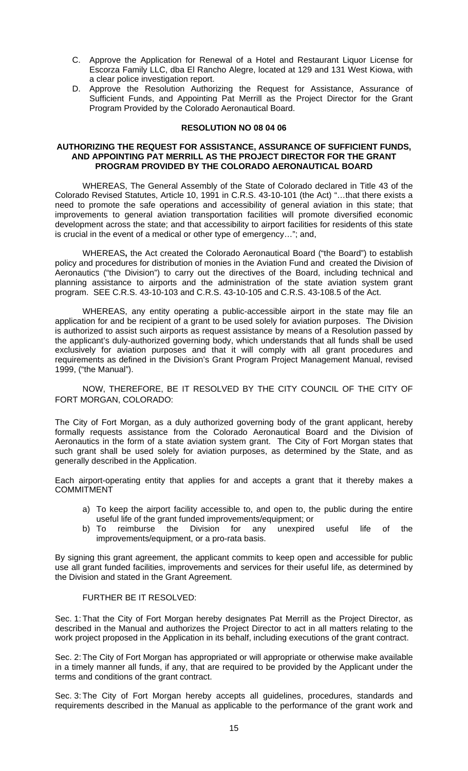- C. Approve the Application for Renewal of a Hotel and Restaurant Liquor License for Escorza Family LLC, dba El Rancho Alegre, located at 129 and 131 West Kiowa, with a clear police investigation report.
- D. Approve the Resolution Authorizing the Request for Assistance, Assurance of Sufficient Funds, and Appointing Pat Merrill as the Project Director for the Grant Program Provided by the Colorado Aeronautical Board.

## **RESOLUTION NO 08 04 06**

## **AUTHORIZING THE REQUEST FOR ASSISTANCE, ASSURANCE OF SUFFICIENT FUNDS, AND APPOINTING PAT MERRILL AS THE PROJECT DIRECTOR FOR THE GRANT PROGRAM PROVIDED BY THE COLORADO AERONAUTICAL BOARD**

WHEREAS, The General Assembly of the State of Colorado declared in Title 43 of the Colorado Revised Statutes, Article 10, 1991 in C.R.S. 43-10-101 (the Act) "…that there exists a need to promote the safe operations and accessibility of general aviation in this state; that improvements to general aviation transportation facilities will promote diversified economic development across the state; and that accessibility to airport facilities for residents of this state is crucial in the event of a medical or other type of emergency…"; and,

WHEREAS**,** the Act created the Colorado Aeronautical Board ("the Board") to establish policy and procedures for distribution of monies in the Aviation Fund and created the Division of Aeronautics ("the Division") to carry out the directives of the Board, including technical and planning assistance to airports and the administration of the state aviation system grant program. SEE C.R.S. 43-10-103 and C.R.S. 43-10-105 and C.R.S. 43-108.5 of the Act.

WHEREAS, any entity operating a public-accessible airport in the state may file an application for and be recipient of a grant to be used solely for aviation purposes. The Division is authorized to assist such airports as request assistance by means of a Resolution passed by the applicant's duly-authorized governing body, which understands that all funds shall be used exclusively for aviation purposes and that it will comply with all grant procedures and requirements as defined in the Division's Grant Program Project Management Manual, revised 1999, ("the Manual").

NOW, THEREFORE, BE IT RESOLVED BY THE CITY COUNCIL OF THE CITY OF FORT MORGAN, COLORADO:

The City of Fort Morgan, as a duly authorized governing body of the grant applicant, hereby formally requests assistance from the Colorado Aeronautical Board and the Division of Aeronautics in the form of a state aviation system grant. The City of Fort Morgan states that such grant shall be used solely for aviation purposes, as determined by the State, and as generally described in the Application.

Each airport-operating entity that applies for and accepts a grant that it thereby makes a **COMMITMENT** 

- a) To keep the airport facility accessible to, and open to, the public during the entire useful life of the grant funded improvements/equipment; or
- b) To reimburse the Division for any unexpired useful life of the improvements/equipment, or a pro-rata basis.

By signing this grant agreement, the applicant commits to keep open and accessible for public use all grant funded facilities, improvements and services for their useful life, as determined by the Division and stated in the Grant Agreement.

# FURTHER BE IT RESOLVED:

Sec. 1: That the City of Fort Morgan hereby designates Pat Merrill as the Project Director, as described in the Manual and authorizes the Project Director to act in all matters relating to the work project proposed in the Application in its behalf, including executions of the grant contract.

Sec. 2: The City of Fort Morgan has appropriated or will appropriate or otherwise make available in a timely manner all funds, if any, that are required to be provided by the Applicant under the terms and conditions of the grant contract.

Sec. 3: The City of Fort Morgan hereby accepts all guidelines, procedures, standards and requirements described in the Manual as applicable to the performance of the grant work and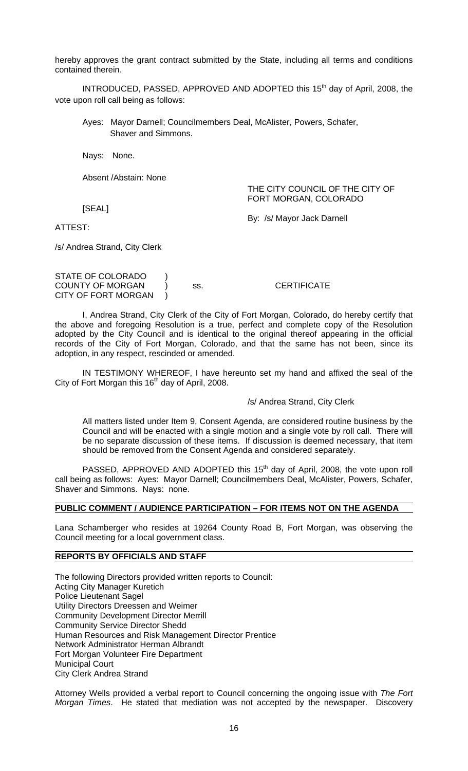hereby approves the grant contract submitted by the State, including all terms and conditions contained therein.

INTRODUCED, PASSED, APPROVED AND ADOPTED this 15<sup>th</sup> day of April, 2008, the vote upon roll call being as follows:

Ayes: Mayor Darnell; Councilmembers Deal, McAlister, Powers, Schafer, Shaver and Simmons.

Nays: None.

Absent /Abstain: None

THE CITY COUNCIL OF THE CITY OF FORT MORGAN, COLORADO

By: /s/ Mayor Jack Darnell

[SEAL]

ATTEST:

/s/ Andrea Strand, City Clerk

| STATE OF COLORADO       |     |                    |
|-------------------------|-----|--------------------|
| <b>COUNTY OF MORGAN</b> | SS. | <b>CERTIFICATE</b> |
| CITY OF FORT MORGAN     |     |                    |

 I, Andrea Strand, City Clerk of the City of Fort Morgan, Colorado, do hereby certify that the above and foregoing Resolution is a true, perfect and complete copy of the Resolution adopted by the City Council and is identical to the original thereof appearing in the official records of the City of Fort Morgan, Colorado, and that the same has not been, since its adoption, in any respect, rescinded or amended.

 IN TESTIMONY WHEREOF, I have hereunto set my hand and affixed the seal of the City of Fort Morgan this  $16<sup>th</sup>$  day of April, 2008.

# /s/ Andrea Strand, City Clerk

All matters listed under Item 9, Consent Agenda, are considered routine business by the Council and will be enacted with a single motion and a single vote by roll call. There will be no separate discussion of these items. If discussion is deemed necessary, that item should be removed from the Consent Agenda and considered separately.

PASSED, APPROVED AND ADOPTED this 15<sup>th</sup> day of April, 2008, the vote upon roll call being as follows: Ayes: Mayor Darnell; Councilmembers Deal, McAlister, Powers, Schafer, Shaver and Simmons. Nays: none.

#### **PUBLIC COMMENT / AUDIENCE PARTICIPATION – FOR ITEMS NOT ON THE AGENDA**

Lana Schamberger who resides at 19264 County Road B, Fort Morgan, was observing the Council meeting for a local government class.

### **REPORTS BY OFFICIALS AND STAFF**

The following Directors provided written reports to Council: Acting City Manager Kuretich Police Lieutenant Sagel Utility Directors Dreessen and Weimer Community Development Director Merrill Community Service Director Shedd Human Resources and Risk Management Director Prentice Network Administrator Herman Albrandt Fort Morgan Volunteer Fire Department Municipal Court City Clerk Andrea Strand

Attorney Wells provided a verbal report to Council concerning the ongoing issue with *The Fort Morgan Times*. He stated that mediation was not accepted by the newspaper. Discovery